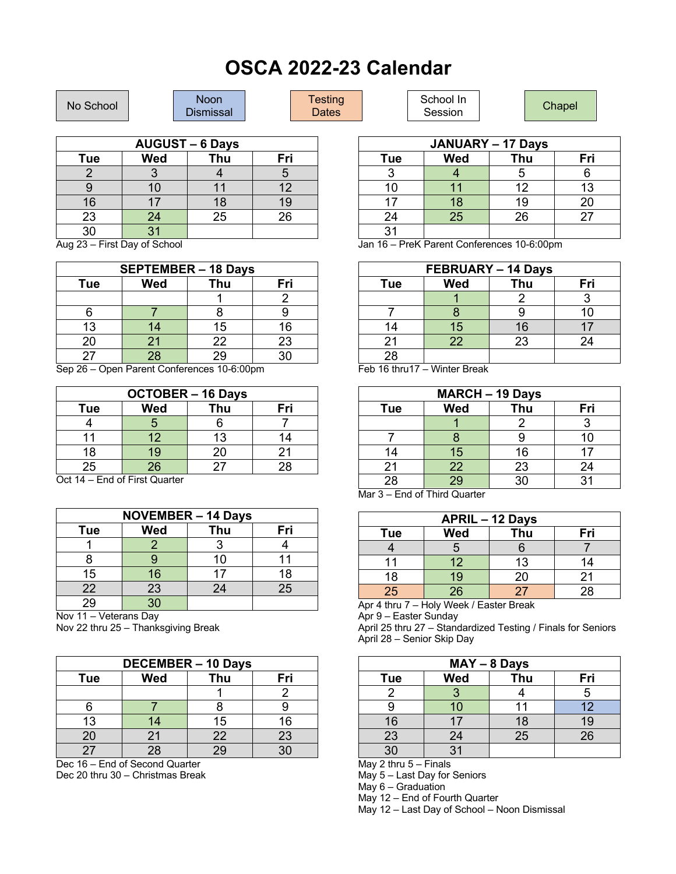## **OSCA 2022-23 Calendar**

| No School                                          |   | <b>Noon</b><br><b>Dismissal</b> |     | <b>Testing</b><br>Dates |   | School In<br>Session |                                   | Chapel |     |
|----------------------------------------------------|---|---------------------------------|-----|-------------------------|---|----------------------|-----------------------------------|--------|-----|
| <b>AUGUST – 6 Days</b><br><b>JANUARY - 17 Days</b> |   |                                 |     |                         |   |                      |                                   |        |     |
| <u>тной сообщении с продажда</u>                   | . |                                 | - - |                         | _ |                      | and the state of the state of the |        | - - |

| Tue | Wed             | Thu | Fri |
|-----|-----------------|-----|-----|
|     |                 |     |     |
|     | 10 <sup>°</sup> |     | 12  |
| 16  | 17              | 18  | 19  |
| 23  | 24              | 25  | 26  |
| 30  | 31              |     |     |

Aug 23 – First Day of School

| <b>SEPTEMBER - 18 Days</b>                |          |    |    |  |  |
|-------------------------------------------|----------|----|----|--|--|
| Fri<br>Thu<br><b>Wed</b><br>Tue           |          |    |    |  |  |
|                                           |          |    |    |  |  |
|                                           |          |    |    |  |  |
| 13                                        | 14       | 15 | 16 |  |  |
| 20                                        | 21       | 22 | 23 |  |  |
| 27                                        | 28       | 29 | 30 |  |  |
| $\sim$<br>- -<br>$\overline{\phantom{0}}$ | -<br>. . | .  |    |  |  |

Sep 26 – Open Parent Conferences 10-6:00pm

| <b>OCTOBER - 16 Days</b>        |    |    |    |  |  |  |
|---------------------------------|----|----|----|--|--|--|
| <b>Wed</b><br>Thu<br>Fri<br>Tue |    |    |    |  |  |  |
|                                 |    |    |    |  |  |  |
|                                 | 12 | 13 | 14 |  |  |  |
| 18                              | 19 | 20 | 21 |  |  |  |
| 25                              | 26 | 27 | 28 |  |  |  |

Oct 14 – End of First Quarter

| <b>NOVEMBER - 14 Days</b>       |                 |    |    |  |  |  |
|---------------------------------|-----------------|----|----|--|--|--|
| <b>Wed</b><br>Thu<br>Fri<br>Tue |                 |    |    |  |  |  |
|                                 |                 |    |    |  |  |  |
|                                 |                 | 10 |    |  |  |  |
| 15                              | 16              | 17 | 18 |  |  |  |
| 22                              | 23              | 24 | 25 |  |  |  |
| $\overline{29}$                 | $\overline{30}$ |    |    |  |  |  |

Nov 11 – Veterans Day

Nov 22 thru 25 – Thanksgiving Break

| <b>DECEMBER - 10 Days</b>       |    |    |    |  |  |
|---------------------------------|----|----|----|--|--|
| <b>Wed</b><br>Thu<br>Fri<br>Tue |    |    |    |  |  |
|                                 |    |    |    |  |  |
|                                 |    |    |    |  |  |
| 13                              | 14 | 15 | 16 |  |  |
| 20                              | 21 | 22 | 23 |  |  |
| 27                              | 28 | 29 | ٩Λ |  |  |

Dec 16 – End of Second Quarter Dec 20 thru 30 – Christmas Break

| <b>JANUARY - 17 Days</b> |            |     |     |  |  |
|--------------------------|------------|-----|-----|--|--|
| <b>Tue</b>               | <b>Wed</b> | Thu | Fri |  |  |
| 3                        |            | 5   |     |  |  |
| 10                       | 11         | 12  | 13  |  |  |
| 17                       | 18         | 19  | 20  |  |  |
| 24                       | 25         | 26  | 27  |  |  |
| 31                       |            |     |     |  |  |

Jan 16 – PreK Parent Conferences 10-6:00pm

| <b>FEBRUARY - 14 Days</b>                                                                                                                                                                                                        |              |    |    |  |  |
|----------------------------------------------------------------------------------------------------------------------------------------------------------------------------------------------------------------------------------|--------------|----|----|--|--|
| <b>Wed</b><br>Thu<br>Fri<br>Tue                                                                                                                                                                                                  |              |    |    |  |  |
|                                                                                                                                                                                                                                  |              |    |    |  |  |
|                                                                                                                                                                                                                                  |              |    | 10 |  |  |
| 14                                                                                                                                                                                                                               | 15           | 16 |    |  |  |
| 21                                                                                                                                                                                                                               | 22           | 23 | 24 |  |  |
| 28                                                                                                                                                                                                                               |              |    |    |  |  |
| $\blacksquare$ $\blacksquare$ $\blacksquare$ $\blacksquare$ $\blacksquare$ $\blacksquare$ $\blacksquare$ $\blacksquare$ $\blacksquare$ $\blacksquare$ $\blacksquare$ $\blacksquare$ $\blacksquare$ $\blacksquare$ $\blacksquare$ | $\mathbf{v}$ |    |    |  |  |

Feb 16 thru17 – Winter Break

| <b>MARCH - 19 Days</b>   |                 |    |    |  |  |
|--------------------------|-----------------|----|----|--|--|
| Wed<br>Thu<br>Fri<br>Tue |                 |    |    |  |  |
|                          |                 |    |    |  |  |
|                          |                 |    | 10 |  |  |
| 14                       | 15              | 16 |    |  |  |
| 21                       | 22              | 23 | 24 |  |  |
| 28<br>.                  | $\overline{29}$ | 30 | 31 |  |  |

Mar 3 – End of Third Quarter

| <b>APRIL - 12 Days</b>          |                 |    |    |  |  |  |
|---------------------------------|-----------------|----|----|--|--|--|
| <b>Wed</b><br>Thu<br>Fri<br>Tue |                 |    |    |  |  |  |
|                                 |                 |    |    |  |  |  |
| 11                              | 12              | 13 |    |  |  |  |
| 18                              | 19              | 20 | 21 |  |  |  |
| 25                              | $\overline{26}$ | 27 | 28 |  |  |  |

Apr 4 thru 7 – Holy Week / Easter Break

Apr 9 – Easter Sunday

April 25 thru 27 – Standardized Testing / Finals for Seniors April 28 – Senior Skip Day

| $MAY - 8$ Days |     |     |     |  |  |
|----------------|-----|-----|-----|--|--|
| Tue            | Wed | Thu | Fri |  |  |
|                |     |     |     |  |  |
|                | 10  |     | 12  |  |  |
| 16             | 17  | 18  | 19  |  |  |
| 23             | 24  | 25  | 26  |  |  |
| 30             | 31  |     |     |  |  |

May 2 thru 5 – Finals

May 5 – Last Day for Seniors

May 6 – Graduation

May 12 – End of Fourth Quarter

May 12 – Last Day of School – Noon Dismissal